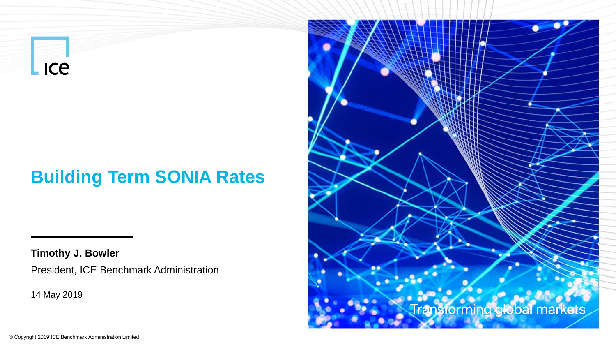**Lice** 

### **Building Term SONIA Rates**

**Timothy J. Bowler**

President, ICE Benchmark Administration

14 May 2019

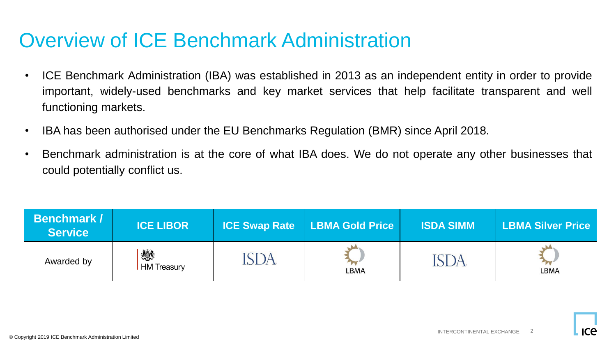### Overview of ICE Benchmark Administration

- ICE Benchmark Administration (IBA) was established in 2013 as an independent entity in order to provide important, widely-used benchmarks and key market services that help facilitate transparent and well functioning markets.
- IBA has been authorised under the EU Benchmarks Regulation (BMR) since April 2018.
- Benchmark administration is at the core of what IBA does. We do not operate any other businesses that could potentially conflict us.

| <b>Benchmark /</b><br><b>Service</b> | <b>ICE LIBOR</b> | <b>ICE Swap Rate LBMA Gold Price</b> | <b>ISDA SIMM</b> | <b>LBMA Silver Price</b> |
|--------------------------------------|------------------|--------------------------------------|------------------|--------------------------|
| Awarded by                           | 燃<br>HM Treasury | <b>LBMA</b>                          |                  | <b>LBMA</b>              |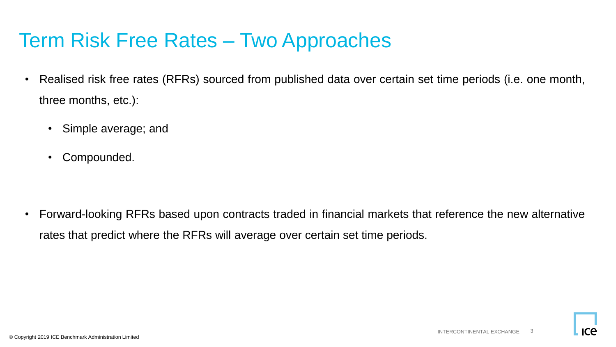### Term Risk Free Rates – Two Approaches

- Realised risk free rates (RFRs) sourced from published data over certain set time periods (i.e. one month, three months, etc.):
	- Simple average; and
	- Compounded.

• Forward-looking RFRs based upon contracts traded in financial markets that reference the new alternative rates that predict where the RFRs will average over certain set time periods.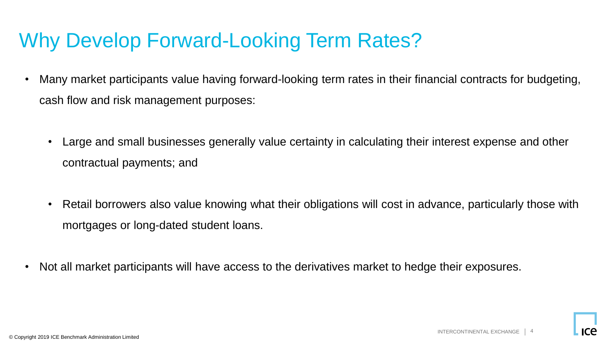### Why Develop Forward-Looking Term Rates?

- Many market participants value having forward-looking term rates in their financial contracts for budgeting, cash flow and risk management purposes:
	- Large and small businesses generally value certainty in calculating their interest expense and other contractual payments; and
	- Retail borrowers also value knowing what their obligations will cost in advance, particularly those with mortgages or long-dated student loans.
- Not all market participants will have access to the derivatives market to hedge their exposures.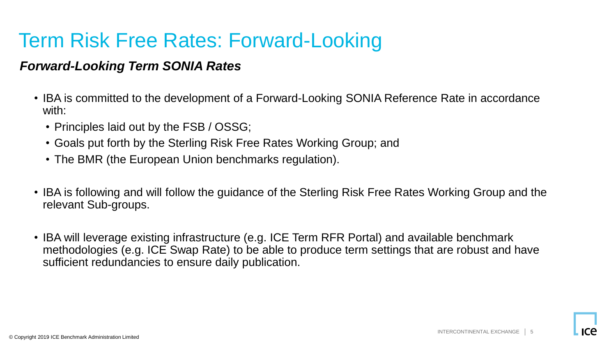# Term Risk Free Rates: Forward-Looking

### *Forward-Looking Term SONIA Rates*

- IBA is committed to the development of a Forward-Looking SONIA Reference Rate in accordance with:
	- Principles laid out by the FSB / OSSG;
	- Goals put forth by the Sterling Risk Free Rates Working Group; and
	- The BMR (the European Union benchmarks regulation).
- IBA is following and will follow the guidance of the Sterling Risk Free Rates Working Group and the relevant Sub-groups.
- IBA will leverage existing infrastructure (e.g. ICE Term RFR Portal) and available benchmark methodologies (e.g. ICE Swap Rate) to be able to produce term settings that are robust and have sufficient redundancies to ensure daily publication.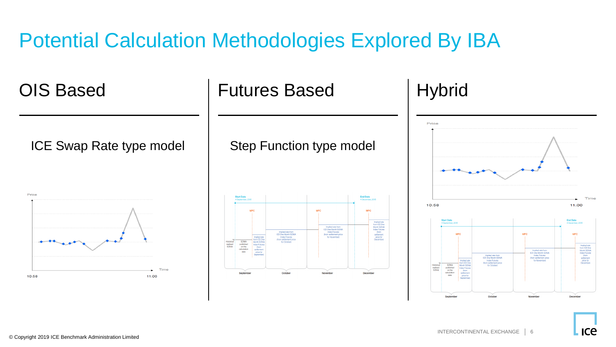# Potential Calculation Methodologies Explored By IBA

ICE Swap Rate type model | Step Function type model



OIS Based | Futures Based | Hybrid





**ICE**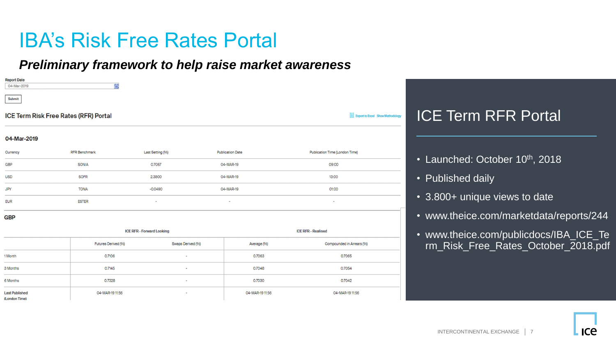### IBA's Risk Free Rates Portal

#### *Preliminary framework to help raise market awareness*

| <b>Report Date</b><br>識<br>04-Mar-2019 |  |  |  |  |
|----------------------------------------|--|--|--|--|
| Submit                                 |  |  |  |  |
| ICE Term Risk Free Rates (RFR) Portal  |  |  |  |  |
| 04-Mar-2019                            |  |  |  |  |

| Currency   | <b>RFR Benchmark</b> | Last Setting (%)            | <b>Publication Date</b> | Publication Time (London Time) |
|------------|----------------------|-----------------------------|-------------------------|--------------------------------|
| GBP        | SONIA                | 0.7057<br><b>CONTRACTOR</b> | 04-MAR-19               | 09:00                          |
| <b>USD</b> | <b>SOFR</b>          | 2,3800                      | 04-MAR-19               | 13:00                          |
| JPY        | <b>TONA</b>          | $-0.0490$                   | 04-MAR-19               | 01:00                          |
| <b>EUR</b> | <b>ESTER</b>         | $\,$                        | $\sim$                  | $\overline{\phantom{a}}$       |

#### **GBP**

|                                        | <b>ICE RFR - Forward Looking</b> |                          | <b>ICE RFR - Realised</b> |                           |  |
|----------------------------------------|----------------------------------|--------------------------|---------------------------|---------------------------|--|
|                                        | Futures Derived (%)              | Swaps Derived (%)        | Average (%)               | Compounded in Arrears (%) |  |
| 1 Month                                | 0.7106                           | $\blacksquare$           | 0.7063                    | 0.7065                    |  |
| 3 Months                               | 0.7145                           | $\overline{\phantom{a}}$ | 0.7048                    | 0.7054                    |  |
| 6 Months                               | 0.7328                           | $\blacksquare$           | 0.7030                    | 0.7042                    |  |
| <b>Last Published</b><br>(London Time) | 04-MAR-19 11:56                  | $\overline{\phantom{a}}$ | 04-MAR-19 11:56           | 04-MAR-19 11:56           |  |

### ICE Term RFR Portal

- Launched: October 10<sup>th</sup>, 2018
- Published daily

Export to Excel Show Methodology

- 3.800+ unique views to date
- www.theice.com/marketdata/reports/244
- www.theice.com/publicdocs/IBA\_ICE\_Te rm\_Risk\_Free\_Rates\_October\_2018.pdf

ICA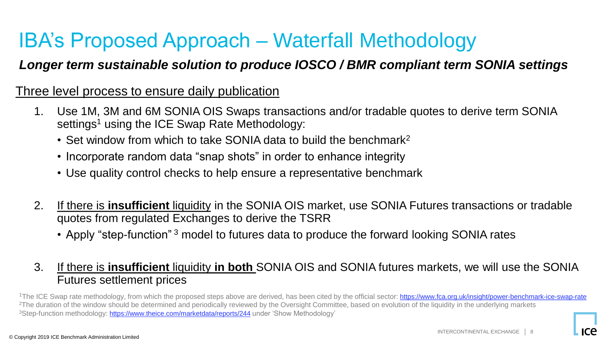# IBA's Proposed Approach – Waterfall Methodology

### *Longer term sustainable solution to produce IOSCO / BMR compliant term SONIA settings*

#### Three level process to ensure daily publication

- 1. Use 1M, 3M and 6M SONIA OIS Swaps transactions and/or tradable quotes to derive term SONIA settings<sup>1</sup> using the ICE Swap Rate Methodology:
	- Set window from which to take SONIA data to build the benchmark<sup>2</sup>
	- Incorporate random data "snap shots" in order to enhance integrity
	- Use quality control checks to help ensure a representative benchmark
- 2. If there is **insufficient** liquidity in the SONIA OIS market, use SONIA Futures transactions or tradable quotes from regulated Exchanges to derive the TSRR
	- Apply "step-function"<sup>3</sup> model to futures data to produce the forward looking SONIA rates

#### 3. If there is **insufficient** liquidity **in both** SONIA OIS and SONIA futures markets, we will use the SONIA Futures settlement prices

<sup>1</sup>The ICE Swap rate methodology, from which the proposed steps above are derived, has been cited by the official sector: <https://www.fca.org.uk/insight/power-benchmark-ice-swap-rate> <sup>2</sup>The duration of the window should be determined and periodically reviewed by the Oversight Committee, based on evolution of the liquidity in the underlying markets <sup>3</sup>Step-function methodology: <https://www.theice.com/marketdata/reports/244> under 'Show Methodology'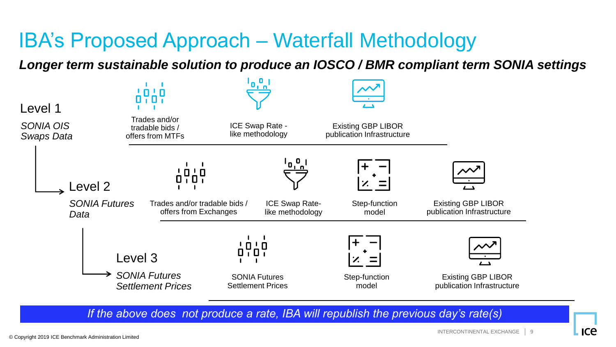# IBA's Proposed Approach – Waterfall Methodology

*Longer term sustainable solution to produce an IOSCO / BMR compliant term SONIA settings*

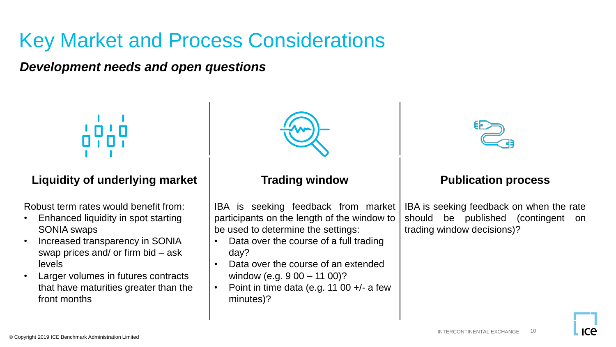# Key Market and Process Considerations

*Development needs and open questions*

#### **Liquidity of underlying market**

Robust term rates would benefit from:

- Enhanced liquidity in spot starting SONIA swaps
- Increased transparency in SONIA swap prices and/ or firm bid – ask levels
- Larger volumes in futures contracts that have maturities greater than the front months



#### **Trading window**

IBA is seeking feedback from market participants on the length of the window to be used to determine the settings:

- Data over the course of a full trading day?
- Data over the course of an extended window (e.g. 9 00 – 11 00)?
- Point in time data (e.g. 11 00  $+/-$  a few minutes)?



#### **Publication process**

IBA is seeking feedback on when the rate should be published (contingent on trading window decisions)?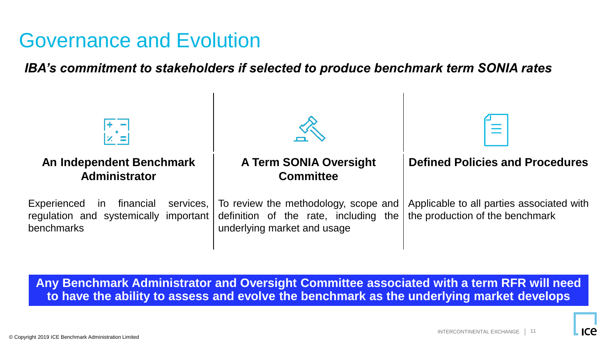### Governance and Evolution

*IBA's commitment to stakeholders if selected to produce benchmark term SONIA rates*



**Any Benchmark Administrator and Oversight Committee associated with a term RFR will need to have the ability to assess and evolve the benchmark as the underlying market develops**

ICA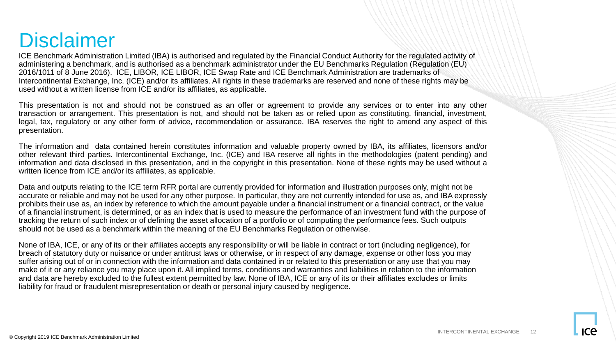### **Disclaimer**

ICE Benchmark Administration Limited (IBA) is authorised and regulated by the Financial Conduct Authority for the regulated activity of administering a benchmark, and is authorised as a benchmark administrator under the EU Benchmarks Regulation (Regulation (EU) 2016/1011 of 8 June 2016). ICE, LIBOR, ICE LIBOR, ICE Swap Rate and ICE Benchmark Administration are trademarks of Intercontinental Exchange, Inc. (ICE) and/or its affiliates. All rights in these trademarks are reserved and none of these rights may be used without a written license from ICE and/or its affiliates, as applicable.

This presentation is not and should not be construed as an offer or agreement to provide any services or to enter into any other transaction or arrangement. This presentation is not, and should not be taken as or relied upon as constituting, financial, investment, legal, tax, regulatory or any other form of advice, recommendation or assurance. IBA reserves the right to amend any aspect of this presentation.

The information and data contained herein constitutes information and valuable property owned by IBA, its affiliates, licensors and/or other relevant third parties. Intercontinental Exchange, Inc. (ICE) and IBA reserve all rights in the methodologies (patent pending) and information and data disclosed in this presentation, and in the copyright in this presentation. None of these rights may be used without a written licence from ICE and/or its affiliates, as applicable.

Data and outputs relating to the ICE term RFR portal are currently provided for information and illustration purposes only, might not be accurate or reliable and may not be used for any other purpose. In particular, they are not currently intended for use as, and IBA expressly prohibits their use as, an index by reference to which the amount payable under a financial instrument or a financial contract, or the value of a financial instrument, is determined, or as an index that is used to measure the performance of an investment fund with the purpose of tracking the return of such index or of defining the asset allocation of a portfolio or of computing the performance fees. Such outputs should not be used as a benchmark within the meaning of the EU Benchmarks Regulation or otherwise.

None of IBA, ICE, or any of its or their affiliates accepts any responsibility or will be liable in contract or tort (including negligence), for breach of statutory duty or nuisance or under antitrust laws or otherwise, or in respect of any damage, expense or other loss you may suffer arising out of or in connection with the information and data contained in or related to this presentation or any use that you may make of it or any reliance you may place upon it. All implied terms, conditions and warranties and liabilities in relation to the information and data are hereby excluded to the fullest extent permitted by law. None of IBA, ICE or any of its or their affiliates excludes or limits liability for fraud or fraudulent misrepresentation or death or personal injury caused by negligence.